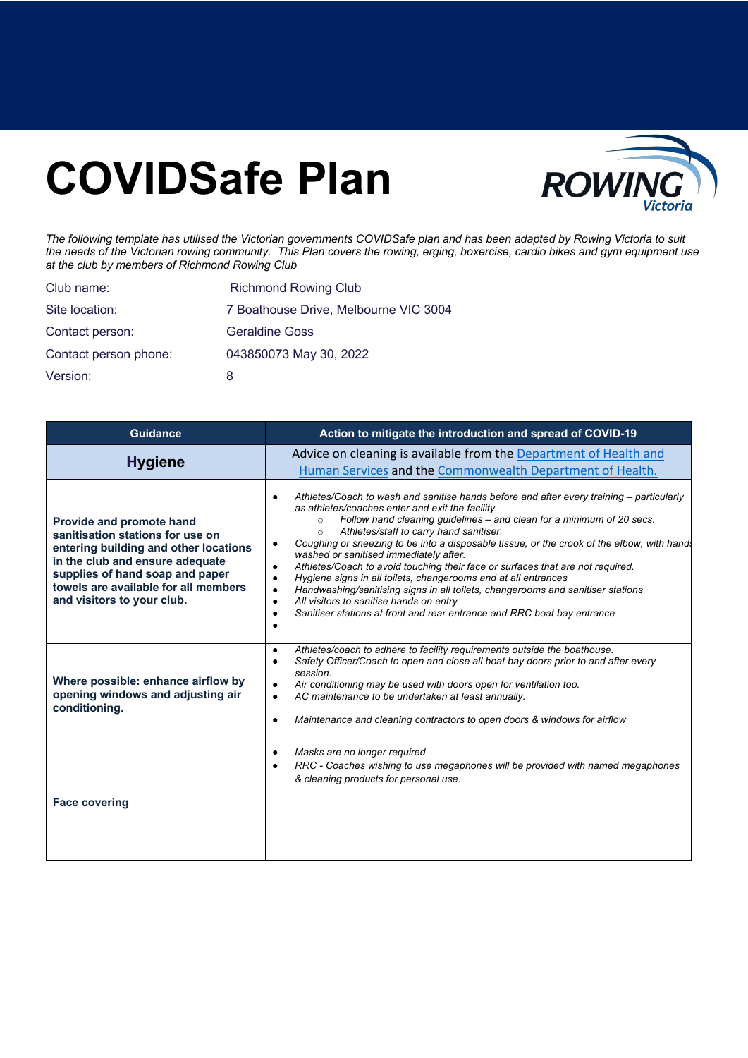## **COVIDSafe Plan**



*The following template has utilised the Victorian governments COVIDSafe plan and has been adapted by Rowing Victoria to suit the needs of the Victorian rowing community. This Plan covers the rowing, erging, boxercise, cardio bikes and gym equipment use at the club by members of Richmond Rowing Club*

| Club name:            | <b>Richmond Rowing Club</b>           |
|-----------------------|---------------------------------------|
| Site location:        | 7 Boathouse Drive, Melbourne VIC 3004 |
| Contact person:       | <b>Geraldine Goss</b>                 |
| Contact person phone: | 043850073 May 30, 2022                |
| Version:              | 8                                     |

| <b>Guidance</b>                                                                                                                                                                                                                                          | Action to mitigate the introduction and spread of COVID-19                                                                                                                                                                                                                                                                                                                                                                                                                                                                                                                                                                                                                                                                                                                                                                                               |
|----------------------------------------------------------------------------------------------------------------------------------------------------------------------------------------------------------------------------------------------------------|----------------------------------------------------------------------------------------------------------------------------------------------------------------------------------------------------------------------------------------------------------------------------------------------------------------------------------------------------------------------------------------------------------------------------------------------------------------------------------------------------------------------------------------------------------------------------------------------------------------------------------------------------------------------------------------------------------------------------------------------------------------------------------------------------------------------------------------------------------|
| <b>Hygiene</b>                                                                                                                                                                                                                                           | Advice on cleaning is available from the Department of Health and<br>Human Services and the Commonwealth Department of Health.                                                                                                                                                                                                                                                                                                                                                                                                                                                                                                                                                                                                                                                                                                                           |
| <b>Provide and promote hand</b><br>sanitisation stations for use on<br>entering building and other locations<br>in the club and ensure adequate<br>supplies of hand soap and paper<br>towels are available for all members<br>and visitors to your club. | Athletes/Coach to wash and sanitise hands before and after every training – particularly<br>as athletes/coaches enter and exit the facility.<br>Follow hand cleaning guidelines – and clean for a minimum of 20 secs.<br>$\circ$<br>Athletes/staff to carry hand sanitiser.<br>$\circ$<br>Coughing or sneezing to be into a disposable tissue, or the crook of the elbow, with hand<br>٠<br>washed or sanitised immediately after.<br>Athletes/Coach to avoid touching their face or surfaces that are not required.<br>$\bullet$<br>Hygiene signs in all toilets, changerooms and at all entrances<br>$\bullet$<br>Handwashing/sanitising signs in all toilets, changerooms and sanitiser stations<br>$\bullet$<br>All visitors to sanitise hands on entry<br>$\bullet$<br>Sanitiser stations at front and rear entrance and RRC boat bay entrance<br>Ċ |
| Where possible: enhance airflow by<br>opening windows and adjusting air<br>conditioning.                                                                                                                                                                 | Athletes/coach to adhere to facility requirements outside the boathouse.<br>$\bullet$<br>Safety Officer/Coach to open and close all boat bay doors prior to and after every<br>$\bullet$<br>session.<br>Air conditioning may be used with doors open for ventilation too.<br>$\bullet$<br>AC maintenance to be undertaken at least annually.<br>$\bullet$<br>Maintenance and cleaning contractors to open doors & windows for airflow<br>$\bullet$                                                                                                                                                                                                                                                                                                                                                                                                       |
| <b>Face covering</b>                                                                                                                                                                                                                                     | Masks are no longer required<br>$\bullet$<br>RRC - Coaches wishing to use megaphones will be provided with named megaphones<br>$\bullet$<br>& cleaning products for personal use.                                                                                                                                                                                                                                                                                                                                                                                                                                                                                                                                                                                                                                                                        |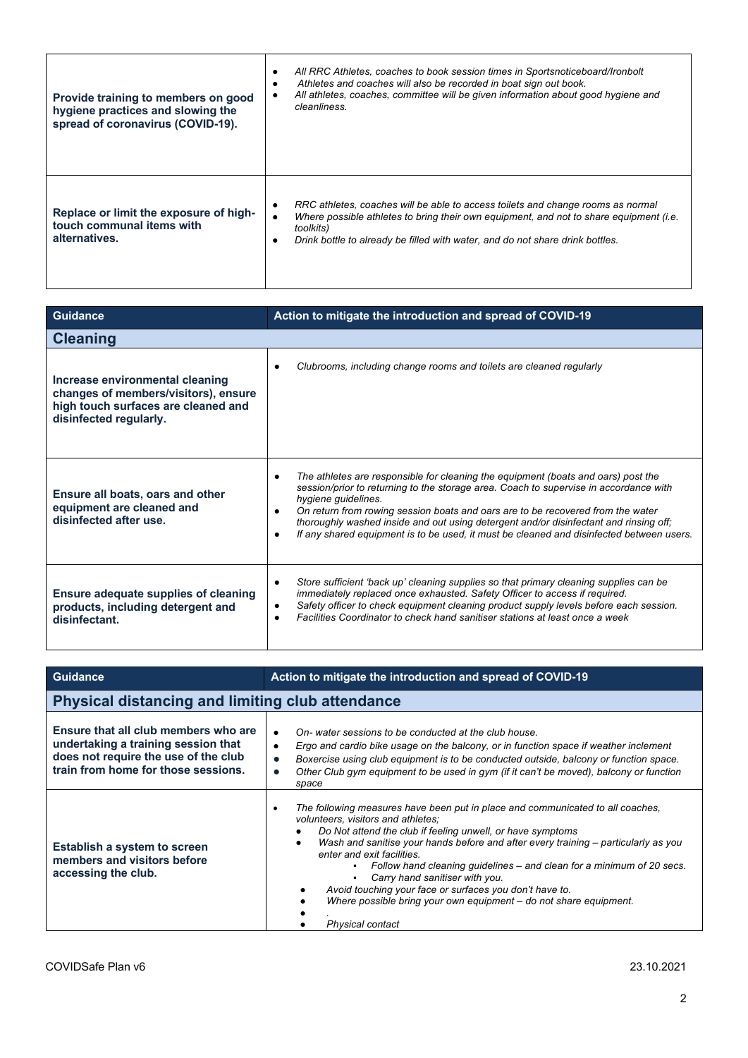| Provide training to members on good<br>hygiene practices and slowing the<br>spread of coronavirus (COVID-19). | All RRC Athletes, coaches to book session times in Sportsnoticeboard/Ironbolt<br>$\bullet$<br>Athletes and coaches will also be recorded in boat sign out book.<br>٠<br>All athletes, coaches, committee will be given information about good hygiene and<br>٠<br>cleanliness.                 |
|---------------------------------------------------------------------------------------------------------------|------------------------------------------------------------------------------------------------------------------------------------------------------------------------------------------------------------------------------------------------------------------------------------------------|
| Replace or limit the exposure of high-<br>touch communal items with<br>alternatives.                          | RRC athletes, coaches will be able to access toilets and change rooms as normal<br>٠<br>Where possible athletes to bring their own equipment, and not to share equipment (i.e.<br>$\bullet$<br>toolkits)<br>Drink bottle to already be filled with water, and do not share drink bottles.<br>٠ |

| Guidance                                                                                                                                 | Action to mitigate the introduction and spread of COVID-19                                                                                                                                                                                                                                                                                                                                                                                                                                                       |
|------------------------------------------------------------------------------------------------------------------------------------------|------------------------------------------------------------------------------------------------------------------------------------------------------------------------------------------------------------------------------------------------------------------------------------------------------------------------------------------------------------------------------------------------------------------------------------------------------------------------------------------------------------------|
| <b>Cleaning</b>                                                                                                                          |                                                                                                                                                                                                                                                                                                                                                                                                                                                                                                                  |
| Increase environmental cleaning<br>changes of members/visitors), ensure<br>high touch surfaces are cleaned and<br>disinfected regularly. | Clubrooms, including change rooms and toilets are cleaned regularly<br>$\bullet$                                                                                                                                                                                                                                                                                                                                                                                                                                 |
| Ensure all boats, oars and other<br>equipment are cleaned and<br>disinfected after use.                                                  | The athletes are responsible for cleaning the equipment (boats and oars) post the<br>$\bullet$<br>session/prior to returning to the storage area. Coach to supervise in accordance with<br>hygiene guidelines.<br>On return from rowing session boats and oars are to be recovered from the water<br>$\bullet$<br>thoroughly washed inside and out using detergent and/or disinfectant and rinsing off;<br>If any shared equipment is to be used, it must be cleaned and disinfected between users.<br>$\bullet$ |
| <b>Ensure adequate supplies of cleaning</b><br>products, including detergent and<br>disinfectant.                                        | Store sufficient 'back up' cleaning supplies so that primary cleaning supplies can be<br>$\bullet$<br>immediately replaced once exhausted. Safety Officer to access if required.<br>Safety officer to check equipment cleaning product supply levels before each session.<br>$\bullet$<br>Facilities Coordinator to check hand sanitiser stations at least once a week                                                                                                                                           |

| <b>Guidance</b>                                                                                                                                            | Action to mitigate the introduction and spread of COVID-19                                                                                                                                                                                                                                                                                                                                                                                                                                                                                                                      |
|------------------------------------------------------------------------------------------------------------------------------------------------------------|---------------------------------------------------------------------------------------------------------------------------------------------------------------------------------------------------------------------------------------------------------------------------------------------------------------------------------------------------------------------------------------------------------------------------------------------------------------------------------------------------------------------------------------------------------------------------------|
| <b>Physical distancing and limiting club attendance</b>                                                                                                    |                                                                                                                                                                                                                                                                                                                                                                                                                                                                                                                                                                                 |
| Ensure that all club members who are<br>undertaking a training session that<br>does not require the use of the club<br>train from home for those sessions. | On- water sessions to be conducted at the club house.<br>$\bullet$<br>Ergo and cardio bike usage on the balcony, or in function space if weather inclement<br>٠<br>Boxercise using club equipment is to be conducted outside, balcony or function space.<br>$\bullet$<br>Other Club gym equipment to be used in gym (if it can't be moved), balcony or function<br>$\bullet$<br>space                                                                                                                                                                                           |
| <b>Establish a system to screen</b><br>members and visitors before<br>accessing the club.                                                                  | The following measures have been put in place and communicated to all coaches,<br>٠<br>volunteers, visitors and athletes;<br>Do Not attend the club if feeling unwell, or have symptoms<br>Wash and sanitise your hands before and after every training – particularly as you<br>enter and exit facilities.<br>Follow hand cleaning guidelines – and clean for a minimum of 20 secs.<br>٠<br>Carry hand sanitiser with you.<br>Avoid touching your face or surfaces you don't have to.<br>Where possible bring your own equipment – do not share equipment.<br>Physical contact |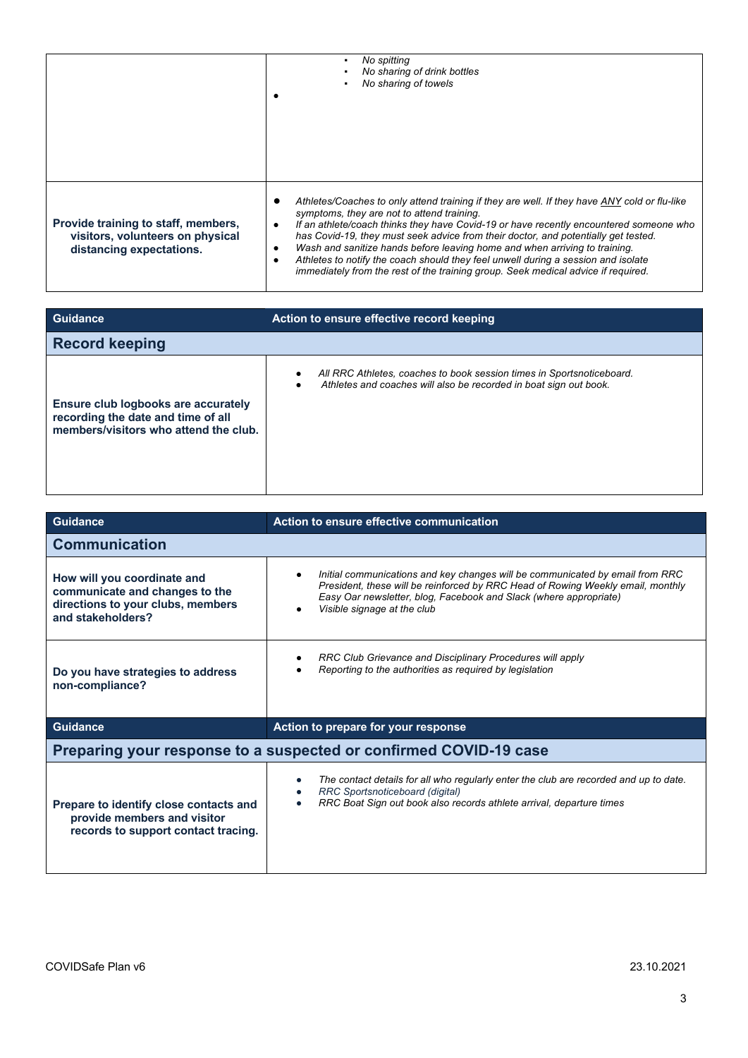|                                                                                                     | No spitting<br>No sharing of drink bottles<br>No sharing of towels                                                                                                                                                                                                                                                                                                                                                                                                                                                                                                                                                     |
|-----------------------------------------------------------------------------------------------------|------------------------------------------------------------------------------------------------------------------------------------------------------------------------------------------------------------------------------------------------------------------------------------------------------------------------------------------------------------------------------------------------------------------------------------------------------------------------------------------------------------------------------------------------------------------------------------------------------------------------|
| Provide training to staff, members,<br>visitors, volunteers on physical<br>distancing expectations. | Athletes/Coaches to only attend training if they are well. If they have ANY cold or flu-like<br>٠<br>symptoms, they are not to attend training.<br>If an athlete/coach thinks they have Covid-19 or have recently encountered someone who<br>٠<br>has Covid-19, they must seek advice from their doctor, and potentially get tested.<br>Wash and sanitize hands before leaving home and when arriving to training.<br>$\bullet$<br>Athletes to notify the coach should they feel unwell during a session and isolate<br>$\bullet$<br>immediately from the rest of the training group. Seek medical advice if required. |

| <b>Guidance</b>                                                                                                    | Action to ensure effective record keeping                                                                                                  |
|--------------------------------------------------------------------------------------------------------------------|--------------------------------------------------------------------------------------------------------------------------------------------|
| <b>Record keeping</b>                                                                                              |                                                                                                                                            |
| Ensure club logbooks are accurately<br>recording the date and time of all<br>members/visitors who attend the club. | All RRC Athletes, coaches to book session times in Sportsnoticeboard.<br>Athletes and coaches will also be recorded in boat sign out book. |

| <b>Guidance</b>                                                                                                         | Action to ensure effective communication                                                                                                                                                                                                                             |
|-------------------------------------------------------------------------------------------------------------------------|----------------------------------------------------------------------------------------------------------------------------------------------------------------------------------------------------------------------------------------------------------------------|
| <b>Communication</b>                                                                                                    |                                                                                                                                                                                                                                                                      |
| How will you coordinate and<br>communicate and changes to the<br>directions to your clubs, members<br>and stakeholders? | Initial communications and key changes will be communicated by email from RRC<br>President, these will be reinforced by RRC Head of Rowing Weekly email, monthly<br>Easy Oar newsletter, blog, Facebook and Slack (where appropriate)<br>Visible signage at the club |
| Do you have strategies to address<br>non-compliance?                                                                    | RRC Club Grievance and Disciplinary Procedures will apply<br>Reporting to the authorities as required by legislation                                                                                                                                                 |
| <b>Guidance</b>                                                                                                         | Action to prepare for your response                                                                                                                                                                                                                                  |
| Preparing your response to a suspected or confirmed COVID-19 case                                                       |                                                                                                                                                                                                                                                                      |
| Prepare to identify close contacts and<br>provide members and visitor<br>records to support contact tracing.            | The contact details for all who regularly enter the club are recorded and up to date.<br>٠<br>RRC Sportsnoticeboard (digital)<br>RRC Boat Sign out book also records athlete arrival, departure times                                                                |